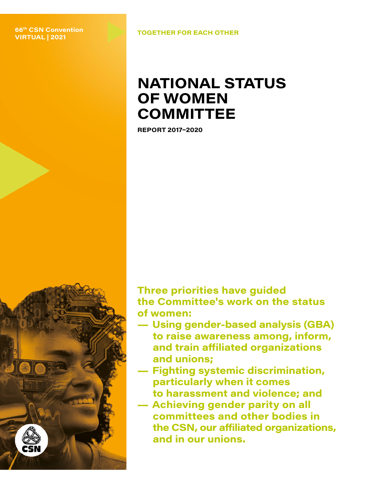#### **TOGETHER FOR EACH OTHER 66th CSN Convention VIRTUAL | 2021**

## **NATIONAL STATUS OF WOMEN COMMITTEE**

**REPORT 2017–2020**

**Three priorities have guided the Committee's work on the status of women:**

- **Using gender-based analysis (GBA) to raise awareness among, inform, and train affiliated organizations and unions;**
	- **Fighting systemic discrimination, particularly when it comes to harassment and violence; and**
- **Achieving gender parity on all committees and other bodies in the CSN, our affiliated organizations, and in our unions.**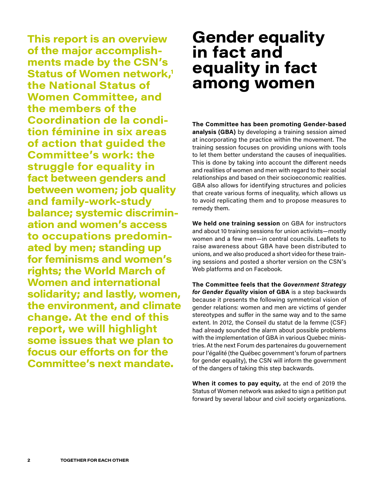**This report is an overview of the major accomplishments made by the CSN's Status of Women network,<sup>1</sup> the National Status of Women Committee, and the members of the Coordination de la condition féminine in six areas of action that guided the Committee's work: the struggle for equality in fact between genders and between women; job quality and family-work-study balance; systemic discrimination and women's access to occupations predominated by men; standing up for feminisms and women's rights; the World March of Women and international solidarity; and lastly, women, the environment, and climate change. At the end of this report, we will highlight some issues that we plan to focus our efforts on for the Committee's next mandate.**

## **Gender equality in fact and equality in fact among women**

**The Committee has been promoting Gender-based analysis (GBA)** by developing a training session aimed at incorporating the practice within the movement. The training session focuses on providing unions with tools to let them better understand the causes of inequalities. This is done by taking into account the different needs and realities of women and men with regard to their social relationships and based on their socioeconomic realities. GBA also allows for identifying structures and policies that create various forms of inequality, which allows us to avoid replicating them and to propose measures to remedy them.

**We held one training session** on GBA for instructors and about 10 training sessions for union activists—mostly women and a few men—in central councils. Leaflets to raise awareness about GBA have been distributed to unions, and we also produced a short video for these training sessions and posted a shorter version on the CSN's Web platforms and on Facebook.

**The Committee feels that the** *Government Strategy for Gender Equality* **vision of GBA** is a step backwards because it presents the following symmetrical vision of gender relations: women and men are victims of gender stereotypes and suffer in the same way and to the same extent. In 2012, the Conseil du statut de la femme (CSF) had already sounded the alarm about possible problems with the implementation of GBA in various Quebec ministries. At the next Forum des partenaires du gouvernement pour l'égalité (the Québec government's forum of partners for gender equality), the CSN will inform the government of the dangers of taking this step backwards.

**When it comes to pay equity,** at the end of 2019 the Status of Women network was asked to sign a petition put forward by several labour and civil society organizations.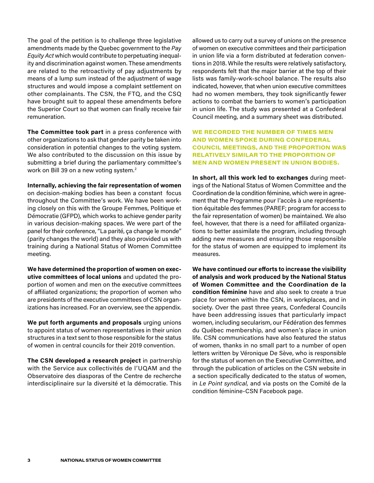<span id="page-2-0"></span>The goal of the petition is to challenge three legislative amendments made by the Quebec government to the *Pay Equity Act* which would contribute to perpetuating inequality and discrimination against women. These amendments are related to the retroactivity of pay adjustments by means of a lump sum instead of the adjustment of wage structures and would impose a complaint settlement on other complainants. The CSN, the FTQ, and the CSQ have brought suit to appeal these amendments before the Superior Court so that women can finally receive fair remuneration.

**The Committee took part** in a press conference with other organizations to ask that gender parity be taken into consideration in potential changes to the voting system. We also contributed to the discussion on this issue by submitting a brief during the parliamentary committee's work on Bill 39 on a new voting system.<sup>2</sup>

**Internally, achieving the fair representation of women** 

on decision-making bodies has been a constant focus throughout the Committee's work. We have been working closely on this with the Groupe Femmes, Politique et Démocratie (GFPD), which works to achieve gender parity in various decision-making spaces. We were part of the panel for their conference, "La parité, ça change le monde" (parity changes the world) and they also provided us with training during a National Status of Women Committee meeting.

**We have determined the proportion of women on executive committees of local unions** and updated the proportion of women and men on the executive committees of affiliated organizations; the proportion of women who are presidents of the executive committees of CSN organizations has increased. For an overview, [see the appendix.](#page-11-0)

**We put forth arguments and proposals** urging unions to appoint status of women representatives in their union structures in a text sent to those responsible for the status of women in central councils for their 2019 convention.

**The CSN developed a research project** in partnership with the Service aux collectivités de l'UQAM and the Observatoire des diasporas of the Centre de recherche interdisciplinaire sur la diversité et la démocratie. This allowed us to carry out a survey of unions on the presence of women on executive committees and their participation in union life via a form distributed at federation conventions in 2018. While the results were relatively satisfactory, respondents felt that the major barrier at the top of their lists was family-work-school balance. The results also indicated, however, that when union executive committees had no women members, they took significantly fewer actions to combat the barriers to women's participation in union life. The study was presented at a Confederal Council meeting, and a summary sheet was distributed.

**WE RECORDED THE NUMBER OF TIMES MEN AND WOMEN SPOKE DURING CONFEDERAL COUNCIL MEETINGS, AND THE PROPORTION WAS RELATIVELY SIMILAR TO THE PROPORTION OF MEN AND WOMEN PRESENT IN UNION BODIES.**

**In short, all this work led to exchanges** during meetings of the National Status of Women Committee and the Coordination de la condition féminine, which were in agreement that the Programme pour l'accès à une représentation équitable des femmes (PAREF; program for access to the fair representation of women) be maintained. We also feel, however, that there is a need for affiliated organizations to better assimilate the program, including through adding new measures and ensuring those responsible for the status of women are equipped to implement its measures.

**We have continued our efforts to increase the visibility of analysis and work produced by the National Status of Women Committee and the Coordination de la condition féminine** have and also seek to create a true place for women within the CSN, in workplaces, and in society. Over the past three years, Confederal Councils have been addressing issues that particularly impact women, including secularism, our Fédération des femmes du Québec membership, and women's place in union life. CSN communications have also featured the status of women, thanks in no small part to a number of open letters written by Véronique De Sève, who is responsible for the status of women on the Executive Committee, and through the publication of articles on the CSN website in a section specifically dedicated to the status of women, in *Le Point syndical,* and via posts on the Comité de la condition féminine-CSN Facebook page.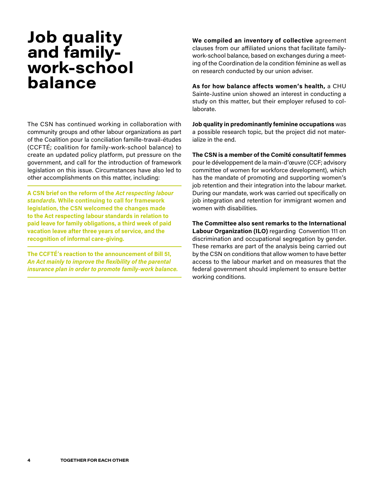# **Job quality and familywork-school balance**

The CSN has continued working in collaboration with community groups and other labour organizations as part of the Coalition pour la conciliation famille-travail-études (CCFTÉ; coalition for family-work-school balance) to create an updated policy platform, put pressure on the government, and call for the introduction of framework legislation on this issue. Circumstances have also led to other accomplishments on this matter, including:

**A CSN brief on the reform of the** *Act respecting labour standards.* **While continuing to call for framework legislation, the CSN welcomed the changes made to the Act respecting labour standards in relation to paid leave for family obligations, a third week of paid vacation leave after three years of service, and the recognition of informal care-giving.** 

**The CCFTÉ's reaction to the announcement of Bill 51,** *An Act mainly to improve the flexibility of the parental insurance plan in order to promote family-work balance.* **We compiled an inventory of collective** agreement clauses from our affiliated unions that facilitate familywork-school balance, based on exchanges during a meeting of the Coordination de la condition féminine as well as on research conducted by our union adviser.

**As for how balance affects women's health,** a CHU Sainte-Justine union showed an interest in conducting a study on this matter, but their employer refused to collaborate.

**Job quality in predominantly feminine occupations** was a possible research topic, but the project did not materialize in the end.

**The CSN is a member of the Comité consultatif femmes**  pour le développement de la main-d'œuvre (CCF; advisory committee of women for workforce development), which has the mandate of promoting and supporting women's job retention and their integration into the labour market. During our mandate, work was carried out specifically on job integration and retention for immigrant women and women with disabilities.

**The Committee also sent remarks to the International Labour Organization (ILO)** regarding Convention 111 on discrimination and occupational segregation by gender. These remarks are part of the analysis being carried out by the CSN on conditions that allow women to have better access to the labour market and on measures that the federal government should implement to ensure better working conditions.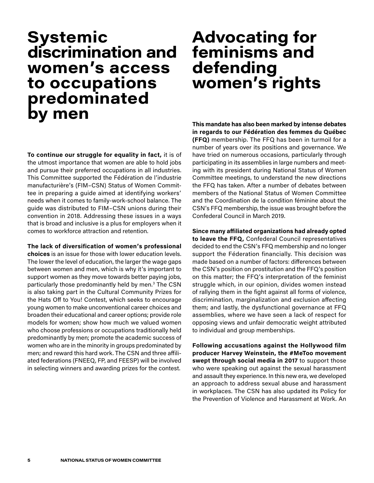## **Systemic discrimination and women's access to occupations predominated by men**

**To continue our struggle for equality in fact,** it is of the utmost importance that women are able to hold jobs and pursue their preferred occupations in all industries. This Committee supported the Fédération de l'industrie manufacturière's (FIM–CSN) Status of Women Committee in preparing a guide aimed at identifying workers' needs when it comes to family-work-school balance. The guide was distributed to FIM–CSN unions during their convention in 2018. Addressing these issues in a ways that is broad and inclusive is a plus for employers when it comes to workforce attraction and retention.

**The lack of diversification of women's professional choices** is an issue for those with lower education levels. The lower the level of education, the larger the wage gaps between women and men, which is why it's important to support women as they move towards better paying jobs, particularly those predominantly held by men.<sup>3</sup> The CSN is also taking part in the Cultural Community Prizes for the Hats Off to You! Contest, which seeks to encourage young women to make unconventional career choices and broaden their educational and career options; provide role models for women; show how much we valued women who choose professions or occupations traditionally held predominantly by men; promote the academic success of women who are in the minority in groups predominated by men; and reward this hard work. The CSN and three affiliated federations (FNEEQ, FP, and FEESP) will be involved in selecting winners and awarding prizes for the contest.

# **Advocating for feminisms and defending women's rights**

**This mandate has also been marked by intense debates in regards to our Fédération des femmes du Québec (FFQ)** membership. The FFQ has been in turmoil for a number of years over its positions and governance. We have tried on numerous occasions, particularly through participating in its assemblies in large numbers and meeting with its president during National Status of Women Committee meetings, to understand the new directions the FFQ has taken. After a number of debates between members of the National Status of Women Committee and the Coordination de la condition féminine about the CSN's FFQ membership, the issue was brought before the Confederal Council in March 2019.

**Since many affiliated organizations had already opted to leave the FFQ,** Confederal Council representatives decided to end the CSN's FFQ membership and no longer support the Féderation financially. This decision was made based on a number of factors: differences between the CSN's position on prostitution and the FFQ's position on this matter; the FFQ's interpretation of the feminist struggle which, in our opinion, divides women instead of rallying them in the fight against all forms of violence, discrimination, marginalization and exclusion affecting them; and lastly, the dysfunctional governance at FFQ assemblies, where we have seen a lack of respect for opposing views and unfair democratic weight attributed to individual and group memberships.

**Following accusations against the Hollywood film producer Harvey Weinstein, the #MeToo movement swept through social media in 2017** to support those who were speaking out against the sexual harassment and assault they experience. In this new era, we developed an approach to address sexual abuse and harassment in workplaces. The CSN has also updated its Policy for the Prevention of Violence and Harassment at Work. An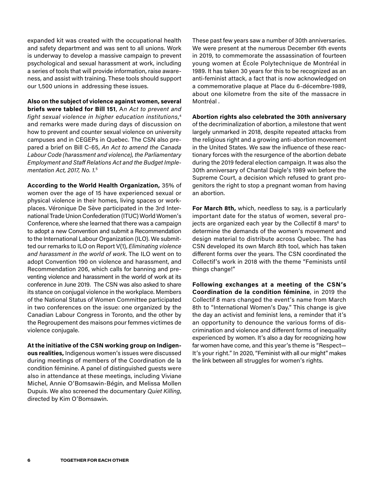expanded kit was created with the occupational health and safety department and was sent to all unions. Work is underway to develop a massive campaign to prevent psychological and sexual harassment at work, including a series of tools that will provide information, raise awareness, and assist with training. These tools should support our 1,500 unions in addressing these issues.

**Also on the subject of violence against women, several briefs were tabled for Bill 151**, A*n Act to prevent and fight sexual violence in higher education institutions*, 4 and remarks were made during days of discussion on how to prevent and counter sexual violence on university campuses and in CEGEPs in Quebec. The CSN also prepared a brief on Bill C-65, *An Act to amend the Canada Labour Code (harassment and violence), the Parliamentary Employment and Staff Relations Act and the Budget Implementation Act, 2017, No. 1.*<sup>5</sup>

**According to the World Health Organization,** 35% of women over the age of 15 have experienced sexual or physical violence in their homes, living spaces or workplaces. Véronique De Sève participated in the 3rd International Trade Union Confederation (ITUC) World Women's Conference, where she learned that there was a campaign to adopt a new Convention and submit a Recommendation to the International Labour Organization (ILO). We submitted our remarks to ILO on Report V(1), *Eliminating violence and harassment in the world of work*. The ILO went on to adopt Convention 190 on violence and harassment, and Recommendation 206, which calls for banning and preventing violence and harassment in the world of work at its conference in June 2019. The CSN was also asked to share its stance on conjugal violence in the workplace. Members of the National Status of Women Committee participated in two conferences on the issue: one organized by the Canadian Labour Congress in Toronto, and the other by the Regroupement des maisons pour femmes victimes de violence conjugale.

**At the initiative of the CSN working group on Indigenous realities,** Indigenous women's issues were discussed during meetings of members of the Coordination de la condition féminine. A panel of distinguished guests were also in attendance at these meetings, including Viviane Michel, Annie O'Bomsawin-Bégin, and Melissa Mollen Dupuis. We also screened the documentary *Quiet Killing*, directed by Kim O'Bomsawin.

These past few years saw a number of 30th anniversaries. We were present at the numerous December 6th events in 2019, to commemorate the assassination of fourteen young women at École Polytechnique de Montréal in 1989. It has taken 30 years for this to be recognized as an anti-feminist attack, a fact that is now acknowledged on a commemorative plaque at Place du 6-décembre-1989, about one kilometre from the site of the massacre in Montréal .

**Abortion rights also celebrated the 30th anniversary** 

of the decriminalization of abortion, a milestone that went largely unmarked in 2018, despite repeated attacks from the religious right and a growing anti-abortion movement in the United States. We saw the influence of these reactionary forces with the resurgence of the abortion debate during the 2019 federal election campaign. It was also the 30th anniversary of Chantal Daigle's 1989 win before the Supreme Court, a decision which refused to grant progenitors the right to stop a pregnant woman from having an abortion.

**For March 8th,** which, needless to say, is a particularly important date for the status of women, several projects are organized each year by the Collectif 8 mars<sup>6</sup> to determine the demands of the women's movement and design material to distribute across Quebec. The has CSN developed its own March 8th tool, which has taken different forms over the years. The CSN coordinated the Collectif's work in 2018 with the theme "Feminists until things change!"

**Following exchanges at a meeting of the CSN's Coordination de la condition féminine**, in 2019 the Collectif 8 mars changed the event's name from March 8th to "International Women's Day." This change is give the day an activist and feminist lens, a reminder that it's an opportunity to denounce the various forms of discrimination and violence and different forms of inequality experienced by women. It's also a day for recognizing how far women have come, and this year's theme is "Respect— It's your right." In 2020, "Feminist with all our might" makes the link between all struggles for women's rights.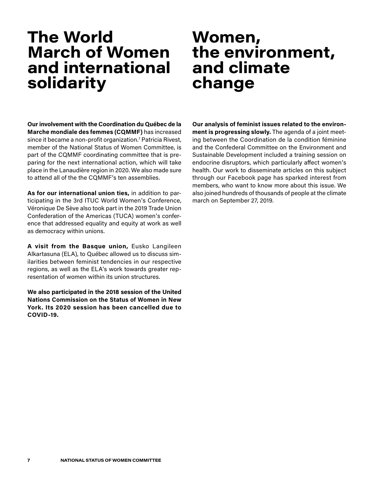# **The World March of Women and international solidarity**

#### **Our involvement with the Coordination du Québec de la Marche mondiale des femmes (CQMMF)** has increased since it became a non-profit organization.7 Patricia Rivest, member of the National Status of Women Committee, is part of the CQMMF coordinating committee that is preparing for the next international action, which will take place in the Lanaudière region in 2020. We also made sure to attend all of the the CQMMF's ten assemblies.

**As for our international union ties,** in addition to participating in the 3rd ITUC World Women's Conference, Véronique De Sève also took part in the 2019 Trade Union Confederation of the Americas (TUCA) women's conference that addressed equality and equity at work as well as democracy within unions.

**A visit from the Basque union,** Eusko Langileen Alkartasuna (ELA), to Québec allowed us to discuss similarities between feminist tendencies in our respective regions, as well as the ELA's work towards greater representation of women within its union structures.

**We also participated in the 2018 session of the United Nations Commission on the Status of Women in New York. Its 2020 session has been cancelled due to COVID-19.**

## **Women, the environment, and climate change**

**Our analysis of feminist issues related to the environment is progressing slowly.** The agenda of a joint meeting between the Coordination de la condition féminine and the Confederal Committee on the Environment and Sustainable Development included a training session on endocrine disruptors, which particularly affect women's health. Our work to disseminate articles on this subject through our Facebook page has sparked interest from members, who want to know more about this issue. We also joined hundreds of thousands of people at the climate march on September 27, 2019.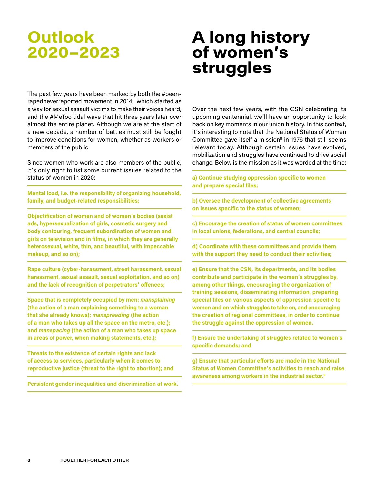# **Outlook 2020–2023**

# **A long history of women's struggles**

The past few years have been marked by both the #beenrapedneverreported movement in 2014, which started as a way for sexual assault victims to make their voices heard, and the #MeToo tidal wave that hit three years later over almost the entire planet. Although we are at the start of a new decade, a number of battles must still be fought to improve conditions for women, whether as workers or members of the public.

Since women who work are also members of the public, it's only right to list some current issues related to the status of women in 2020:

**Mental load, i.e. the responsibility of organizing household, family, and budget-related responsibilities;**

**Objectification of women and of women's bodies (sexist ads, hypersexualization of girls, cosmetic surgery and body contouring, frequent subordination of women and girls on television and in films, in which they are generally heterosexual, white, thin, and beautiful, with impeccable makeup, and so on);**

**Rape culture (cyber-harassment, street harassment, sexual harassment, sexual assault, sexual exploitation, and so on) and the lack of recognition of perpetrators' offences;**

**Space that is completely occupied by men:** *mansplaining* **(the action of a man explaining something to a woman that she already knows);** *manspreading* **(the action of a man who takes up all the space on the metro, etc.); and** *manspacing* **(the action of a man who takes up space in areas of power, when making statements, etc.);**

**Threats to the existence of certain rights and lack of access to services, particularly when it comes to reproductive justice (threat to the right to abortion); and**

**Persistent gender inequalities and discrimination at work.**

Over the next few years, with the CSN celebrating its upcoming centennial, we'll have an opportunity to look back on key moments in our union history. In this context, it's interesting to note that the National Status of Women Committee gave itself a mission<sup>8</sup> in 1976 that still seems relevant today. Although certain issues have evolved, mobilization and struggles have continued to drive social change. Below is the mission as it was worded at the time:

**a) Continue studying oppression specific to women and prepare special files;**

**b) Oversee the development of collective agreements on issues specific to the status of women;**

**c) Encourage the creation of status of women committees in local unions, federations, and central councils;**

**d) Coordinate with these committees and provide them with the support they need to conduct their activities;**

**e) Ensure that the CSN, its departments, and its bodies contribute and participate in the women's struggles by, among other things, encouraging the organization of training sessions, disseminating information, preparing special files on various aspects of oppression specific to women and on which struggles to take on, and encouraging the creation of regional committees, in order to continue the struggle against the oppression of women.**

**f) Ensure the undertaking of struggles related to women's specific demands; and**

**g) Ensure that particular efforts are made in the National Status of Women Committee's activities to reach and raise awareness among workers in the industrial sector.9**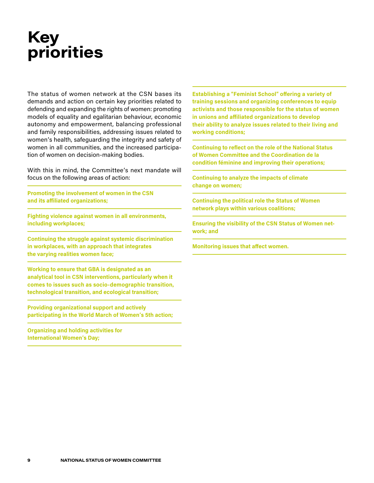# **Key priorities**

The status of women network at the CSN bases its demands and action on certain key priorities related to defending and expanding the rights of women: promoting models of equality and egalitarian behaviour, economic autonomy and empowerment, balancing professional and family responsibilities, addressing issues related to women's health, safeguarding the integrity and safety of women in all communities, and the increased participation of women on decision-making bodies.

With this in mind, the Committee's next mandate will focus on the following areas of action:

**Promoting the involvement of women in the CSN and its affiliated organizations;**

**Fighting violence against women in all environments, including workplaces;**

**Continuing the struggle against systemic discrimination in workplaces, with an approach that integrates the varying realities women face;**

**Working to ensure that GBA is designated as an analytical tool in CSN interventions, particularly when it comes to issues such as socio-demographic transition, technological transition, and ecological transition;**

**Providing organizational support and actively participating in the World March of Women's 5th action;**

**Organizing and holding activities for International Women's Day;**

**Establishing a "Feminist School" offering a variety of training sessions and organizing conferences to equip activists and those responsible for the status of women in unions and affiliated organizations to develop their ability to analyze issues related to their living and working conditions;**

**Continuing to reflect on the role of the National Status of Women Committee and the Coordination de la condition féminine and improving their operations;**

**Continuing to analyze the impacts of climate change on women;**

**Continuing the political role the Status of Women network plays within various coalitions;**

**Ensuring the visibility of the CSN Status of Women network; and**

**Monitoring issues that affect women.**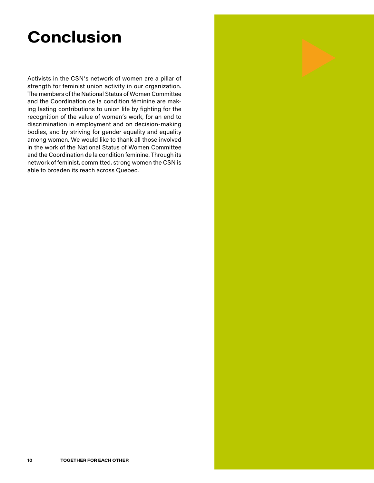# **Conclusion**

Activists in the CSN's network of women are a pillar of strength for feminist union activity in our organization. The members of the National Status of Women Committee and the Coordination de la condition féminine are making lasting contributions to union life by fighting for the recognition of the value of women's work, for an end to discrimination in employment and on decision-making bodies, and by striving for gender equality and equality among women. We would like to thank all those involved in the work of the National Status of Women Committee and the Coordination de la condition feminine. Through its network of feminist, committed, strong women the CSN is able to broaden its reach across Quebec.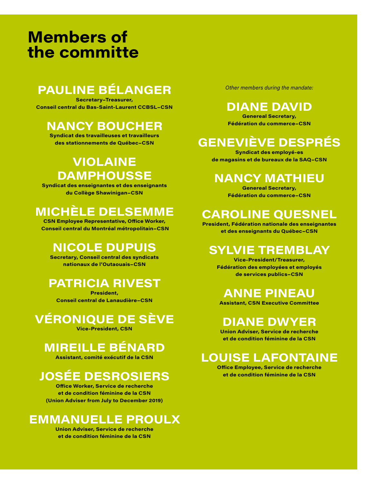# **Members of the committe**

## **PAULINE BÉLANGER**

**Secretary–Treasurer, Conseil central du Bas-Saint-Laurent CCBSL–CSN**

### **NANCY BOUCHER**

**Syndicat des travailleuses et travailleurs des stationnements de Québec–CSN**

### **VIOLAINE DAMPHOUSSE**

**Syndicat des enseignantes et des enseignants du Collège Shawinigan–CSN**

## **MICHÈLE DELSEMME**

**CSN Employee Representative, Office Worker, Conseil central du Montréal métropolitain–CSN**

### **NICOLE DUPUIS**

**Secretary, Conseil central des syndicats nationaux de l'Outaouais–CSN**

### **PATRICIA RIVEST**

**President, Conseil central de Lanaudière–CSN**

## **VÉRONIQUE DE SÈVE**

**Vice-President, CSN**

### **MIREILLE BÉNARD**

**Assistant, comité exécutif de la CSN**

## **JOSÉE DESROSIERS**

**Office Worker, Service de recherche et de condition féminine de la CSN (Union Adviser from July to December 2019)**

### **EMMANUELLE PROULX**

**Union Adviser, Service de recherche et de condition féminine de la CSN**

*Other members during the mandate:*

## **DIANE DAVID**

**Genereal Secretary, Fédération du commerce–CSN**

## **GENEVIÈVE DESPRÉS**

**Syndicat des employé-es de magasins et de bureaux de la SAQ–CSN**

### **NANCY MATHIEU**

**Genereal Secretary, Fédération du commerce–CSN**

## **CAROLINE QUESNEL**

**President, Fédération nationale des enseignantes et des enseignants du Québec–CSN**

### **SYLVIE TREMBLAY**

**Vice-President/Treasurer, Fédération des employées et employés de services publics–CSN**

### **ANNE PINEAU**

**Assistant, CSN Executive Committee**

### **DIANE DWYER**

**Union Adviser, Service de recherche et de condition féminine de la CSN**

## **LOUISE LAFONTAINE**

**Office Employee, Service de recherche et de condition féminine de la CSN**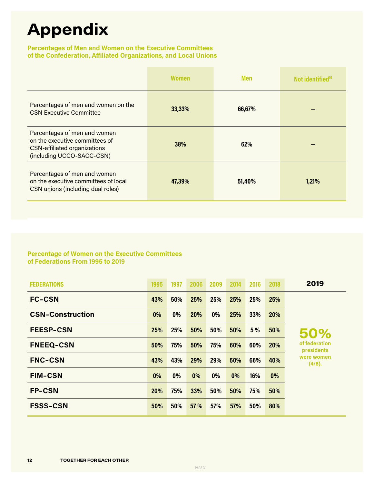# <span id="page-11-0"></span>**Appendix**

#### **Percentages of Men and Women on the Executive Committees of the Confederation, Affiliated Organizations, and Local Unions**

|                                                                                                                                    | <b>Women</b> | <b>Men</b> | Not identified <sup>10</sup> |
|------------------------------------------------------------------------------------------------------------------------------------|--------------|------------|------------------------------|
| Percentages of men and women on the<br><b>CSN Executive Committee</b>                                                              | 33,33%       | 66,67%     |                              |
| Percentages of men and women<br>on the executive committees of<br><b>CSN-affiliated organizations</b><br>(including UCCO-SACC-CSN) | <b>38%</b>   | 62%        |                              |
| Percentages of men and women<br>on the executive committees of local<br>CSN unions (including dual roles)                          | 47,39%       | 51,40%     | 1,21%                        |

#### **Percentage of Women on the Executive Committees of Federations From 1995 to 2019**

| <b>FEDERATIONS</b>      | 1995  | 1997  | 2006       | 2009  | 2014 | 2016 | 2018       | 2019                               |
|-------------------------|-------|-------|------------|-------|------|------|------------|------------------------------------|
| <b>FC-CSN</b>           | 43%   | 50%   | 25%        | 25%   | 25%  | 25%  | 25%        |                                    |
| <b>CSN-Construction</b> | $0\%$ | $0\%$ | <b>20%</b> | $0\%$ | 25%  | 33%  | <b>20%</b> |                                    |
| <b>FEESP-CSN</b>        | 25%   | 25%   | 50%        | 50%   | 50%  | 5 %  | 50%        | 50%                                |
| <b>FNEEQ-CSN</b>        | 50%   | 75%   | 50%        | 75%   | 60%  | 60%  | 20%        | of federation<br><b>presidents</b> |
| <b>FNC-CSN</b>          | 43%   | 43%   | 29%        | 29%   | 50%  | 66%  | 40%        | were women<br>(4/8).               |
| <b>FIM-CSN</b>          | 0%    | $0\%$ | 0%         | 0%    | 0%   | 16%  | 0%         |                                    |
| <b>FP-CSN</b>           | 20%   | 75%   | 33%        | 50%   | 50%  | 75%  | 50%        |                                    |
| <b>FSSS-CSN</b>         | 50%   | 50%   | 57 %       | 57%   | 57%  | 50%  | 80%        |                                    |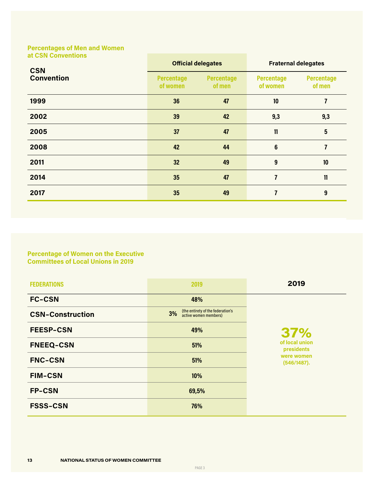**Percentages of Men and Women at CSN Conventions**

| <b>CSN</b>        | <b>Official delegates</b>     |                             | <b>Fraternal delegates</b>    |                             |  |
|-------------------|-------------------------------|-----------------------------|-------------------------------|-----------------------------|--|
| <b>Convention</b> | <b>Percentage</b><br>of women | <b>Percentage</b><br>of men | <b>Percentage</b><br>of women | <b>Percentage</b><br>of men |  |
| 1999              | 36                            | 47                          | 10                            | $\overline{1}$              |  |
| 2002              | 39                            | 42                          | 9,3                           | 9,3                         |  |
| 2005              | 37                            | 47                          | 11                            | 5                           |  |
| 2008              | 42                            | 44                          | $6\phantom{1}6$               | $\overline{7}$              |  |
| 2011              | 32                            | 49                          | 9                             | 10                          |  |
| 2014              | 35                            | 47                          | 7                             | 11                          |  |
| 2017              | 35                            | 49                          |                               | 9                           |  |

#### **Percentage of Women on the Executive Committees of Local Unions in 2019**

| <b>FEDERATIONS</b>      | 2019                                                             | 2019                         |  |  |  |
|-------------------------|------------------------------------------------------------------|------------------------------|--|--|--|
| <b>FC-CSN</b>           | 48%                                                              |                              |  |  |  |
| <b>CSN-Construction</b> | (the entirety of the federation's<br>3%<br>active women members) |                              |  |  |  |
| <b>FEESP-CSN</b>        | 49%                                                              | 37%                          |  |  |  |
| <b>FNEEQ-CSN</b>        | 51%                                                              | of local union<br>presidents |  |  |  |
| <b>FNC-CSN</b>          | 51%                                                              | were women<br>(546/1487).    |  |  |  |
| <b>FIM-CSN</b>          | 10%                                                              |                              |  |  |  |
| <b>FP-CSN</b>           | 69,5%                                                            |                              |  |  |  |
| <b>FSSS-CSN</b>         | 76%                                                              |                              |  |  |  |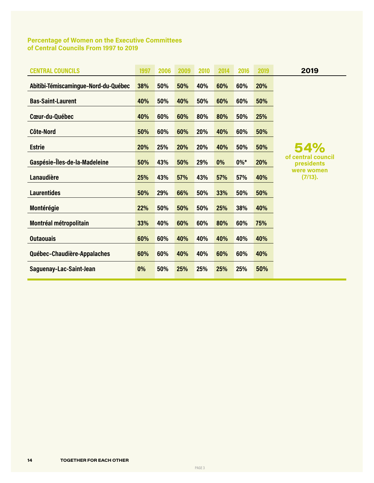#### **Percentage of Women on the Executive Committees of Central Councils From 1997 to 2019**

| <b>CENTRAL COUNCILS</b>              | 1997 | 2006 | 2009 | 2010 | 2014 | 2016   | 2019 | 2019                             |
|--------------------------------------|------|------|------|------|------|--------|------|----------------------------------|
| Abitibi-Témiscamingue-Nord-du-Québec | 38%  | 50%  | 50%  | 40%  | 60%  | 60%    | 20%  |                                  |
| <b>Bas-Saint-Laurent</b>             | 40%  | 50%  | 40%  | 50%  | 60%  | 60%    | 50%  |                                  |
| Cœur-du-Québec                       | 40%  | 60%  | 60%  | 80%  | 80%  | 50%    | 25%  |                                  |
| <b>Côte-Nord</b>                     | 50%  | 60%  | 60%  | 20%  | 40%  | 60%    | 50%  |                                  |
| <b>Estrie</b>                        | 20%  | 25%  | 20%  | 20%  | 40%  | 50%    | 50%  | 54%                              |
| Gaspésie-Îles-de-la-Madeleine        | 50%  | 43%  | 50%  | 29%  | 0%   | $0\%*$ | 20%  | of central council<br>presidents |
| <b>Lanaudière</b>                    | 25%  | 43%  | 57%  | 43%  | 57%  | 57%    | 40%  | were women<br>(7/13).            |
| <b>Laurentides</b>                   | 50%  | 29%  | 66%  | 50%  | 33%  | 50%    | 50%  |                                  |
| Montérégie                           | 22%  | 50%  | 50%  | 50%  | 25%  | 38%    | 40%  |                                  |
| Montréal métropolitain               | 33%  | 40%  | 60%  | 60%  | 80%  | 60%    | 75%  |                                  |
| <b>Outaouais</b>                     | 60%  | 60%  | 40%  | 40%  | 40%  | 40%    | 40%  |                                  |
| Québec-Chaudière-Appalaches          | 60%  | 60%  | 40%  | 40%  | 60%  | 60%    | 40%  |                                  |
| Saguenay-Lac-Saint-Jean              | 0%   | 50%  | 25%  | 25%  | 25%  | 25%    | 50%  |                                  |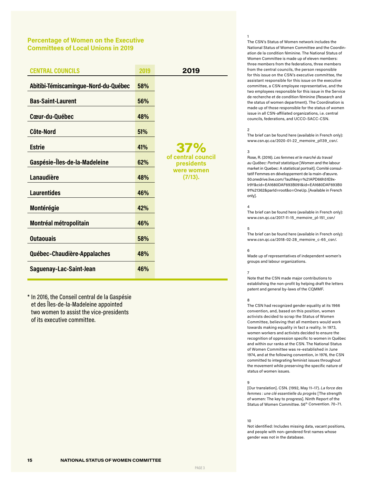#### **Percentage of Women on the Executive Committees of Local Unions in 2019**

| <b>CENTRAL COUNCILS</b>              | 2019 | 2019                             |
|--------------------------------------|------|----------------------------------|
| Abitibi-Témiscamingue-Nord-du-Québec | 58%  |                                  |
| <b>Bas-Saint-Laurent</b>             | 56%  |                                  |
| Cœur-du-Québec                       | 48%  |                                  |
| <b>Côte-Nord</b>                     | 51%  |                                  |
| <b>Estrie</b>                        | 41%  | 37%                              |
| Gaspésie-Îles-de-la-Madeleine        | 62%  | of central council<br>presidents |
| Lanaudière                           | 48%  | were women<br>(7/13).            |
| <b>Laurentides</b>                   | 46%  |                                  |
| Montérégie                           | 42%  |                                  |
| Montréal métropolitain               | 46%  |                                  |
| <b>Outaouais</b>                     | 58%  |                                  |
| Québec-Chaudière-Appalaches          | 48%  |                                  |
| Saguenay-Lac-Saint-Jean              | 46%  |                                  |

\* In 2016, the Conseil central de la Gaspésie et des Îles-de-la-Madeleine appointed two women to assist the vice-presidents of its executive committee.

#### 1

The CSN's Status of Women network includes the National Status of Women Committee and the Coordination de la condition féminine. The National Status of Women Committee is made up of eleven members: three members from the federations, three members from the central councils, the person responsible for this issue on the CSN's executive committee, the assistant responsible for this issue on the executive committee, a CSN employee representative, and the two employees responsible for this issue in the Service de recherche et de condition féminine (Research and the status of women department). The Coordination is made up of those responsible for the status of women issue in all CSN-affiliated organizations, i.e. central councils, federations, and UCCO-SACC-CSN.

#### 2

The brief can be found here (available in French only): [www.csn.qc.ca/2020-01-22\\_memoire\\_pl139\\_csn/](https://www.csn.qc.ca/2020-01-22_memoire_pl139_csn/).

#### 3

Rose, R. (2016). *Les femmes et le marché du travail au Québec: Portrait statistique* [Women and the labour market in Quebec: A statistical portrait]. Comité consultatif Femmes en développement de la main-d'œuvre. [50.onedrive.live.com/?authkey=%21APD66h51E9x](https://onedrive.live.com/?authkey=%21APD66h51E9xlr9Y&cid=EA1680DAF693B091&id=EA1680DAF693B091%21362&parId=root&o=OneUp)[lr9Y&cid=EA1680DAF693B091&id=EA1680DAF693B0](https://onedrive.live.com/?authkey=%21APD66h51E9xlr9Y&cid=EA1680DAF693B091&id=EA1680DAF693B091%21362&parId=root&o=OneUp) [91%21362&parId=root&o=OneUp](https://onedrive.live.com/?authkey=%21APD66h51E9xlr9Y&cid=EA1680DAF693B091&id=EA1680DAF693B091%21362&parId=root&o=OneUp). [Available in French only].

#### 4

The brief can be found here (available in French only): [www.csn.qc.ca/2017-11-15\\_memoire\\_pl-151\\_csn](https://www.csn.qc.ca/2017-11-15_memoire_pl-151_csn/)/

#### 5

The brief can be found here (available in French only): [www.csn.qc.ca/2018-02-28\\_memoire\\_c-65\\_csn/.](http://www.csn.qc.ca/2018-02-28_memoire_c-65_csn)

#### 6

Made up of representatives of independent women's groups and labour organizations.

#### 7

Note that the CSN made major contributions to establishing the non-profit by helping draft the letters patent and general by-laws of the CQMMF.

#### 8

The CSN had recognized gender equality at its 1966 convention, and, based on this position, women activists decided to scrap the Status of Women Committee, believing that all members would work towards making equality in fact a reality. In 1973, women workers and activists decided to ensure the recognition of oppression specific to women in Québec and within our ranks at the CSN. The National Status of Women Committee was re-established in June 1974, and at the following convention, in 1976, the CSN committed to integrating feminist issues throughout the movement while preserving the specific nature of status of women issues.

#### 9

[Our translation]. CSN. (1992, May 11–17). *La force des femmes : une clé essentielle du progrès* [The strength of women: The key to progress]. Ninth Report of the Status of Women Committee. 56<sup>th</sup> Convention. 70-71.

#### 10

Not identified: Includes missing data, vacant positions, and people with non-gendered first names whose gender was not in the database.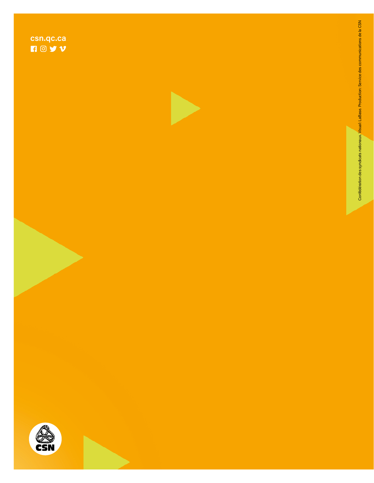





Confédération des syndicats nationaux, Visual: LaBase. Production: Service des communications de la CSN Confédération des syndicats nationaux. Visual: LaBase. Production: Service des communications de la CSN